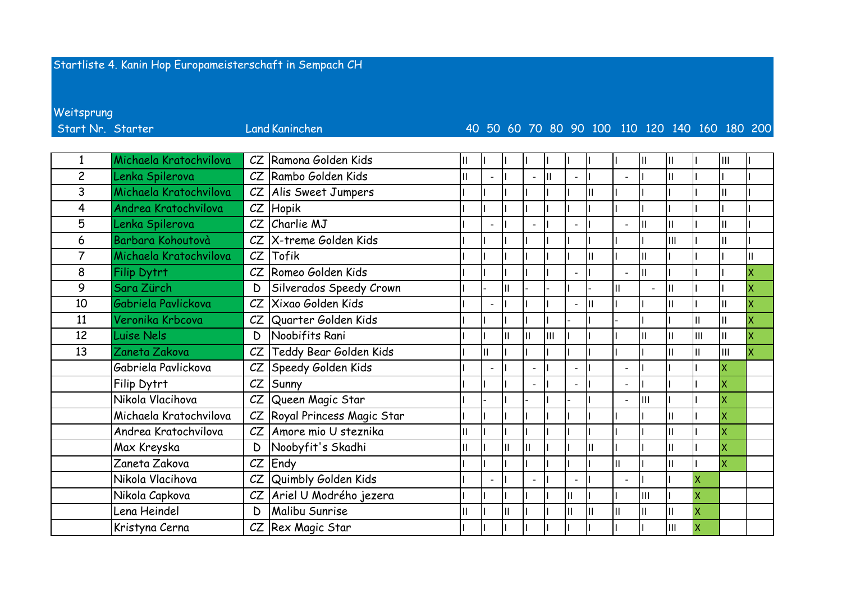## Startliste 4. Kanin Hop Europameisterschaft in Sempach CH

Weitsprung

Start Nr. Starter

## **Land Kaninchen**

## 40 50 60 70 80 90 100 110 120 140 160 180 200

|                | Michaela Kratochvilova | CZ | Ramona Golden Kids        |   |               |              |   |                          |    |                          |                          | Ш            |    | Ш            |    |
|----------------|------------------------|----|---------------------------|---|---------------|--------------|---|--------------------------|----|--------------------------|--------------------------|--------------|----|--------------|----|
| $\overline{c}$ | Lenka Spilerova        | CZ | Rambo Golden Kids         |   |               |              | П | $\overline{\phantom{a}}$ |    | L,                       |                          | $\mathbf{H}$ |    |              |    |
| 3              | Michaela Kratochvilova | CZ | Alis Sweet Jumpers        |   |               |              |   |                          |    |                          |                          |              |    |              |    |
| 4              | Andrea Kratochvilova   | CZ | Hopik                     |   |               |              |   |                          |    |                          |                          |              |    |              |    |
| 5              | Lenka Spilerova        | CZ | Charlie MJ                |   |               |              |   | $\overline{a}$           |    | $\overline{a}$           |                          | Ш            |    | Ш            |    |
| 6              | Barbara Kohoutovà      | CZ | X-treme Golden Kids       |   |               |              |   |                          |    |                          |                          | lıı          |    | Ш            |    |
| $\overline{7}$ | Michaela Kratochvilova | CZ | Tofik                     |   |               |              |   |                          |    |                          |                          |              |    |              |    |
| 8              | <b>Filip Dytrt</b>     | CZ | Romeo Golden Kids         |   |               |              |   | $\overline{\phantom{a}}$ |    | $\overline{\phantom{a}}$ |                          |              |    |              | ΙX |
| 9              | Sara Zürch             | D  | Silverados Speedy Crown   |   | $\mathsf{II}$ |              |   |                          |    | Iн                       | $\overline{\phantom{a}}$ | Iн           |    |              |    |
| 10             | Gabriela Pavlickova    | CZ | Xixao Golden Kids         |   |               |              |   | $\overline{a}$           | Iн |                          |                          | Iн           |    |              | İΧ |
| 11             | Veronika Krbcova       | CZ | Quarter Golden Kids       |   |               |              |   |                          |    |                          |                          |              |    |              |    |
| 12             | Luise Nels             | D  | Noobifits Rani            |   | $\mathbf{I}$  | $\mathsf{I}$ | Ш |                          |    |                          |                          | Ш            | Ш  | $\mathbf{H}$ |    |
| 13             | Zaneta Zakova          | CZ | Teddy Bear Golden Kids    | П |               |              |   |                          |    |                          |                          | Iн           |    | Ш            | Ιx |
|                | Gabriela Pavlickova    | CZ | Speedy Golden Kids        |   |               |              |   | $\overline{a}$           |    | $\overline{a}$           |                          |              |    | Ιx           |    |
|                | Filip Dytrt            | CZ | Sunny                     |   |               |              |   | $\overline{\phantom{0}}$ |    | $\overline{\phantom{a}}$ |                          |              |    | ΙX           |    |
|                | Nikola Vlacihova       | CZ | Queen Magic Star          |   |               |              |   |                          |    | $\overline{\phantom{a}}$ | lш                       |              |    | İΧ           |    |
|                | Michaela Kratochvilova | CZ | Royal Princess Magic Star |   |               |              |   |                          |    |                          |                          | Ш            |    | İΧ           |    |
|                | Andrea Kratochvilova   | CZ | Amore mio U steznika      |   |               |              |   |                          |    |                          |                          | $\mathbf{H}$ |    | ΙX           |    |
|                | Max Kreyska            | D  | Noobyfit's Skadhi         |   | $\mathbf{I}$  |              |   |                          |    |                          |                          | IΙ           |    | Ιx           |    |
|                | Zaneta Zakova          | CZ | Endy                      |   |               |              |   |                          |    | II                       |                          | lπ           |    | ΙX           |    |
|                | Nikola Vlacihova       | CZ | Quimbly Golden Kids       |   |               |              |   | $\overline{\phantom{0}}$ |    | $\overline{a}$           |                          |              | X  |              |    |
|                | Nikola Capkova         | CZ | Ariel U Modrého jezera    |   |               |              |   | $\mathbf{II}$            |    |                          | Ш                        |              |    |              |    |
|                | ena Heindel            | D  | Malibu Sunrise            |   | $\mathbf{I}$  |              |   | II                       | Ш  | Iш                       |                          | Ш            | ΙX |              |    |
|                | Kristyna Cerna         | CZ | Rex Magic Star            |   |               |              |   |                          |    |                          |                          | IШ           |    |              |    |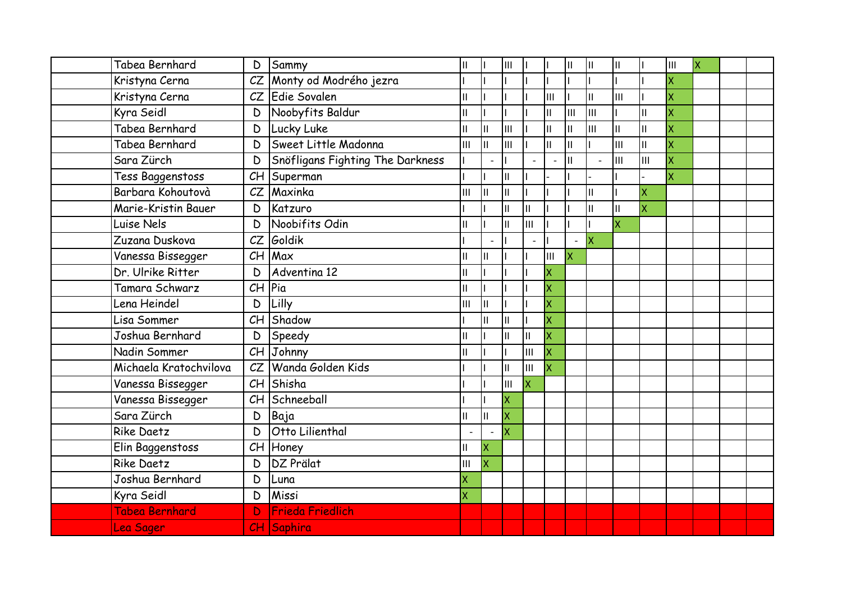| Tabea Bernhard         | D  | Sammy                            | $\mathsf{II}$ |               | $\mathbf{III}$ |                            |     | $\mathbf{I}$ | Iн            | III                     |     | Iш                      | ΙX |  |
|------------------------|----|----------------------------------|---------------|---------------|----------------|----------------------------|-----|--------------|---------------|-------------------------|-----|-------------------------|----|--|
| Kristyna Cerna         | CZ | Monty od Modrého jezra           |               |               |                |                            |     |              |               |                         |     | $\overline{\mathsf{x}}$ |    |  |
| Kristyna Cerna         | CZ | Edie Sovalen                     | $\mathsf{II}$ |               |                |                            | Iш  |              | Iш            | Iш                      |     | $\overline{\mathsf{x}}$ |    |  |
| Kyra Seidl             | D  | Noobyfits Baldur                 | $\mathbf{II}$ |               |                |                            | Iш  | IШ           | Iш            |                         | lπ  | $\overline{\mathsf{x}}$ |    |  |
| Tabea Bernhard         | D  | Lucky Luke                       | Ш             | $\mathbf{II}$ | III            |                            | Iш  | $\mathbf{I}$ | Iш            | Ш                       | Iш  | $\overline{\mathsf{x}}$ |    |  |
| Tabea Bernhard         | D  | Sweet Little Madonna             | Iш            | $\mathbf{II}$ | III            |                            | Iıı | $\mathbf{I}$ |               | Iш                      | Iıı | $\overline{\mathsf{x}}$ |    |  |
| Sara Zürch             | D  | Snöfligans Fighting The Darkness |               |               |                |                            |     | П            |               | Iш                      | Iш  | $\overline{\mathsf{x}}$ |    |  |
| Tess Baggenstoss       | CH | Superman                         |               |               | Ш              |                            |     |              |               |                         |     | $\overline{\mathsf{x}}$ |    |  |
| Barbara Kohoutovà      | CZ | Maxinka                          | Iш            | $\mathbf{II}$ | $\mathbf{II}$  |                            |     |              | $\mathbf{II}$ |                         | X   |                         |    |  |
| Marie-Kristin Bauer    | D  | Katzuro                          |               |               | $\mathsf{II}$  | $\ensuremath{\mathsf{II}}$ |     |              | Ш             | Ш                       | X   |                         |    |  |
| Luise Nels             | D  | Noobifits Odin                   | Ш             |               | $\mathbf{I}$   | IШ                         |     |              |               | $\overline{\mathsf{x}}$ |     |                         |    |  |
| Zuzana Duskova         | CZ | Goldik                           |               |               |                |                            |     |              | Ιx            |                         |     |                         |    |  |
| Vanessa Bissegger      | CH | Max                              | Ш             | $\mathbf{H}$  |                |                            | Ш   | X            |               |                         |     |                         |    |  |
| Dr. Ulrike Ritter      | D  | Adventina 12                     | Ш             |               |                |                            | ΙX  |              |               |                         |     |                         |    |  |
| Tamara Schwarz         | CH | Pia                              | $\mathbf{II}$ |               |                |                            | x   |              |               |                         |     |                         |    |  |
| Lena Heindel           | D  | Lilly                            | Iш            | $\mathbf{II}$ |                |                            | ΙX  |              |               |                         |     |                         |    |  |
| Lisa Sommer            | CH | Shadow                           |               | $\mathsf{II}$ | П              |                            | x   |              |               |                         |     |                         |    |  |
| Joshua Bernhard        | D  | Speedy                           | $\mathbf{II}$ |               | $\mathbf{II}$  | II                         | X   |              |               |                         |     |                         |    |  |
| Nadin Sommer           | CH | Johnny                           | $\mathbf{I}$  |               |                | $\mathbf{III}$             |     |              |               |                         |     |                         |    |  |
| Michaela Kratochvilova | CZ | Wanda Golden Kids                |               |               | $\mathbf{I}$   | Iш                         |     |              |               |                         |     |                         |    |  |
| Vanessa Bissegger      | CH | Shisha                           |               |               | Ш              | ΙX                         |     |              |               |                         |     |                         |    |  |
| Vanessa Bissegger      | CH | Schneeball                       |               |               | X              |                            |     |              |               |                         |     |                         |    |  |
| Sara Zürch             | D  | Baja                             | $\mathsf{II}$ | $\mathbf{II}$ | X              |                            |     |              |               |                         |     |                         |    |  |
| <b>Rike Daetz</b>      | D  | Otto Lilienthal                  |               |               | X              |                            |     |              |               |                         |     |                         |    |  |
| Elin Baggenstoss       | CH | Honey                            | Ш             | X             |                |                            |     |              |               |                         |     |                         |    |  |
| <b>Rike Daetz</b>      | D  | DZ Prälat                        | Ш             | X             |                |                            |     |              |               |                         |     |                         |    |  |
| Joshua Bernhard        | D  | Luna                             |               |               |                |                            |     |              |               |                         |     |                         |    |  |
| Kyra Seidl             | D  | Missi                            | X             |               |                |                            |     |              |               |                         |     |                         |    |  |
| Tabea Bernhard         | D  | Frieda Friedlich                 |               |               |                |                            |     |              |               |                         |     |                         |    |  |
| Lea Sager              |    | CH Saphira                       |               |               |                |                            |     |              |               |                         |     |                         |    |  |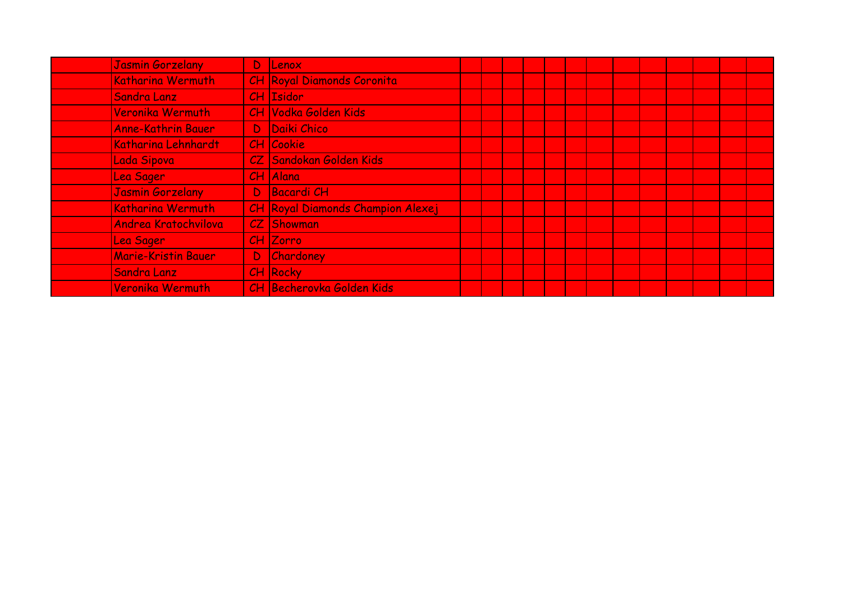| Jasmin Gorzelany           |    | D Lenox                           |  |  |  |  |  |  |  |
|----------------------------|----|-----------------------------------|--|--|--|--|--|--|--|
| Katharina Wermuth          |    | CH Royal Diamonds Coronita        |  |  |  |  |  |  |  |
| Sandra Lanz                |    | CH Isidor                         |  |  |  |  |  |  |  |
| Veronika Wermuth           |    | <b>CH Vodka Golden Kids</b>       |  |  |  |  |  |  |  |
| <b>Anne-Kathrin Bauer</b>  | D. | Daiki Chico                       |  |  |  |  |  |  |  |
| Katharina Lehnhardt        |    | CH Cookie                         |  |  |  |  |  |  |  |
| Lada Sipova                |    | CZ Sandokan Golden Kids           |  |  |  |  |  |  |  |
| Lea Sager                  |    | $CH$ Alana                        |  |  |  |  |  |  |  |
| Jasmin Gorzelany           | D. | <b>Bacardi CH</b>                 |  |  |  |  |  |  |  |
| Katharina Wermuth          |    | CH Royal Diamonds Champion Alexej |  |  |  |  |  |  |  |
| Andrea Kratochvilova       |    | <b>CZ</b> Showman                 |  |  |  |  |  |  |  |
| Lea Sager                  |    | CH Zorro                          |  |  |  |  |  |  |  |
| <b>Marie-Kristin Bauer</b> | D. | Chardoney                         |  |  |  |  |  |  |  |
| Sandra Lanz                |    | <b>CH Rocky</b>                   |  |  |  |  |  |  |  |
| Veronika Wermuth           |    | CH Becherovka Golden Kids         |  |  |  |  |  |  |  |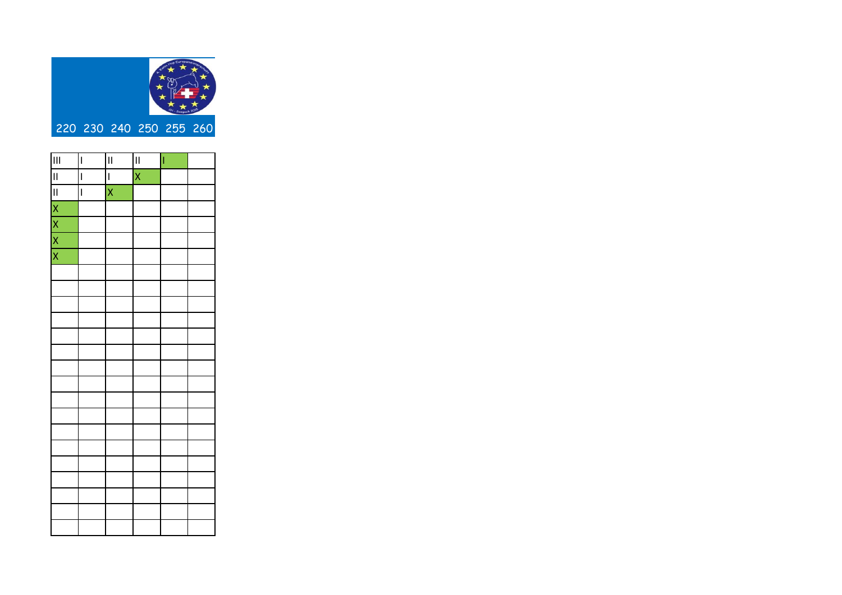

| $\mathbf{III}$             | $\overline{\phantom{a}}$ | $\mathbf{I}$             | $\mathbf{I}$            | Ī |  |
|----------------------------|--------------------------|--------------------------|-------------------------|---|--|
| $\overline{\mathbf{u}}$    | $\overline{\phantom{a}}$ | $\overline{\phantom{a}}$ | $\overline{\mathsf{x}}$ |   |  |
| $\overline{\mathbf{u}}$    | $\overline{\phantom{a}}$ | $\overline{\mathsf{x}}$  |                         |   |  |
| $\times$ $\times$ $\times$ |                          |                          |                         |   |  |
|                            |                          |                          |                         |   |  |
|                            |                          |                          |                         |   |  |
|                            |                          |                          |                         |   |  |
|                            |                          |                          |                         |   |  |
|                            |                          |                          |                         |   |  |
|                            |                          |                          |                         |   |  |
|                            |                          |                          |                         |   |  |
|                            |                          |                          |                         |   |  |
|                            |                          |                          |                         |   |  |
|                            |                          |                          |                         |   |  |
|                            |                          |                          |                         |   |  |
|                            |                          |                          |                         |   |  |
|                            |                          |                          |                         |   |  |
|                            |                          |                          |                         |   |  |
|                            |                          |                          |                         |   |  |
|                            |                          |                          |                         |   |  |
|                            |                          |                          |                         |   |  |
|                            |                          |                          |                         |   |  |
|                            |                          |                          |                         |   |  |
|                            |                          |                          |                         |   |  |